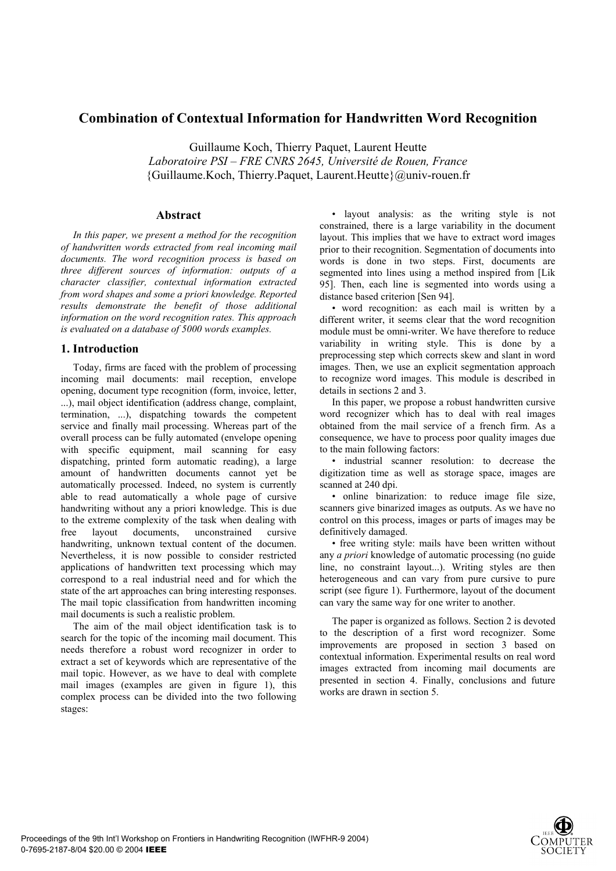# **Combination of Contextual Information for Handwritten Word Recognition**

Guillaume Koch, Thierry Paquet, Laurent Heutte *Laboratoire PSI – FRE CNRS 2645, Université de Rouen, France*  {Guillaume.Koch, Thierry.Paquet, Laurent.Heutte}@univ-rouen.fr

# **Abstract**

*In this paper, we present a method for the recognition of handwritten words extracted from real incoming mail documents. The word recognition process is based on three different sources of information: outputs of a character classifier, contextual information extracted from word shapes and some a priori knowledge. Reported results demonstrate the benefit of those additional information on the word recognition rates. This approach is evaluated on a database of 5000 words examples.* 

# **1. Introduction**

Today, firms are faced with the problem of processing incoming mail documents: mail reception, envelope opening, document type recognition (form, invoice, letter, ...), mail object identification (address change, complaint, termination, ...), dispatching towards the competent service and finally mail processing. Whereas part of the overall process can be fully automated (envelope opening with specific equipment, mail scanning for easy dispatching, printed form automatic reading), a large amount of handwritten documents cannot yet be automatically processed. Indeed, no system is currently able to read automatically a whole page of cursive handwriting without any a priori knowledge. This is due to the extreme complexity of the task when dealing with free layout documents unconstrained cursive handwriting, unknown textual content of the documen. Nevertheless, it is now possible to consider restricted applications of handwritten text processing which may correspond to a real industrial need and for which the state of the art approaches can bring interesting responses. The mail topic classification from handwritten incoming mail documents is such a realistic problem.

The aim of the mail object identification task is to search for the topic of the incoming mail document. This needs therefore a robust word recognizer in order to extract a set of keywords which are representative of the mail topic. However, as we have to deal with complete mail images (examples are given in figure 1), this complex process can be divided into the two following stages:

• layout analysis: as the writing style is not constrained, there is a large variability in the document layout. This implies that we have to extract word images prior to their recognition. Segmentation of documents into words is done in two steps. First, documents are segmented into lines using a method inspired from [Lik 95]. Then, each line is segmented into words using a distance based criterion [Sen 94].

• word recognition: as each mail is written by a different writer, it seems clear that the word recognition module must be omni-writer. We have therefore to reduce variability in writing style. This is done by a preprocessing step which corrects skew and slant in word images. Then, we use an explicit segmentation approach to recognize word images. This module is described in details in sections 2 and 3.

In this paper, we propose a robust handwritten cursive word recognizer which has to deal with real images obtained from the mail service of a french firm. As a consequence, we have to process poor quality images due to the main following factors:

• industrial scanner resolution: to decrease the digitization time as well as storage space, images are scanned at 240 dpi.

• online binarization: to reduce image file size, scanners give binarized images as outputs. As we have no control on this process, images or parts of images may be definitively damaged.

• free writing style: mails have been written without any *a priori* knowledge of automatic processing (no guide line, no constraint layout...). Writing styles are then heterogeneous and can vary from pure cursive to pure script (see figure 1). Furthermore, layout of the document can vary the same way for one writer to another.

The paper is organized as follows. Section 2 is devoted to the description of a first word recognizer. Some improvements are proposed in section 3 based on contextual information. Experimental results on real word images extracted from incoming mail documents are presented in section 4. Finally, conclusions and future works are drawn in section 5

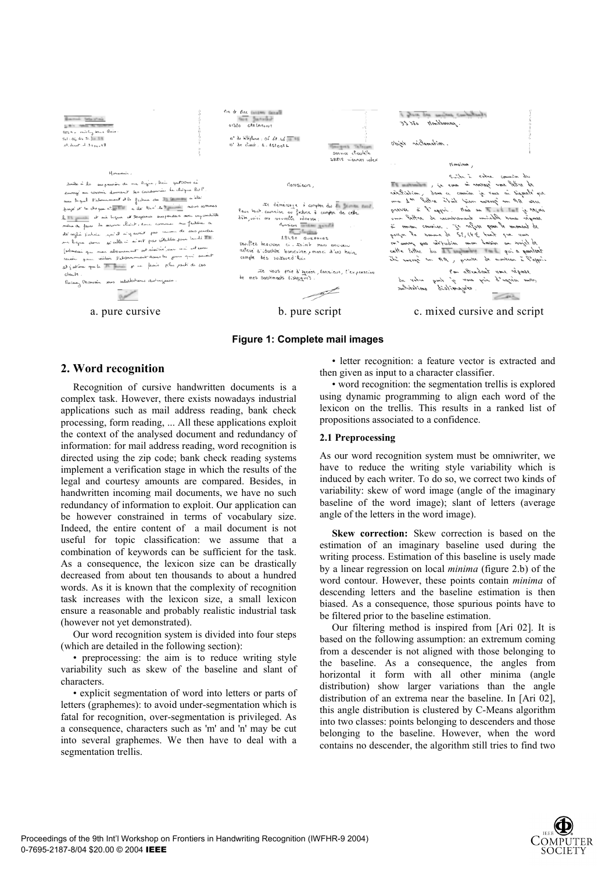

### **Figure 1: Complete mail images**

# **2. Word recognition**

Recognition of cursive handwritten documents is a complex task. However, there exists nowadays industrial applications such as mail address reading, bank check processing, form reading, ... All these applications exploit the context of the analysed document and redundancy of information: for mail address reading, word recognition is directed using the zip code; bank check reading systems implement a verification stage in which the results of the legal and courtesy amounts are compared. Besides, in handwritten incoming mail documents, we have no such redundancy of information to exploit. Our application can be however constrained in terms of vocabulary size. Indeed, the entire content of a mail document is not useful for topic classification: we assume that a combination of keywords can be sufficient for the task. As a consequence, the lexicon size can be drastically decreased from about ten thousands to about a hundred words. As it is known that the complexity of recognition task increases with the lexicon size, a small lexicon ensure a reasonable and probably realistic industrial task (however not yet demonstrated).

Our word recognition system is divided into four steps (which are detailed in the following section):

• preprocessing: the aim is to reduce writing style variability such as skew of the baseline and slant of characters.

• explicit segmentation of word into letters or parts of letters (graphemes): to avoid under-segmentation which is fatal for recognition, over-segmentation is privileged. As a consequence, characters such as 'm' and 'n' may be cut into several graphemes. We then have to deal with a segmentation trellis.

• letter recognition: a feature vector is extracted and then given as input to a character classifier.

• word recognition: the segmentation trellis is explored using dynamic programming to align each word of the lexicon on the trellis. This results in a ranked list of propositions associated to a confidence.

### **2.1 Preprocessing**

As our word recognition system must be omniwriter, we have to reduce the writing style variability which is induced by each writer. To do so, we correct two kinds of variability: skew of word image (angle of the imaginary baseline of the word image); slant of letters (average angle of the letters in the word image).

**Skew correction:** Skew correction is based on the estimation of an imaginary baseline used during the writing process. Estimation of this baseline is usely made by a linear regression on local *minima* (figure 2.b) of the word contour. However, these points contain *minima* of descending letters and the baseline estimation is then biased. As a consequence, those spurious points have to be filtered prior to the baseline estimation.

Our filtering method is inspired from [Ari 02]. It is based on the following assumption: an extremum coming from a descender is not aligned with those belonging to the baseline. As a consequence, the angles from horizontal it form with all other minima (angle distribution) show larger variations than the angle distribution of an extrema near the baseline. In [Ari 02], this angle distribution is clustered by C-Means algorithm into two classes: points belonging to descenders and those belonging to the baseline. However, when the word contains no descender, the algorithm still tries to find two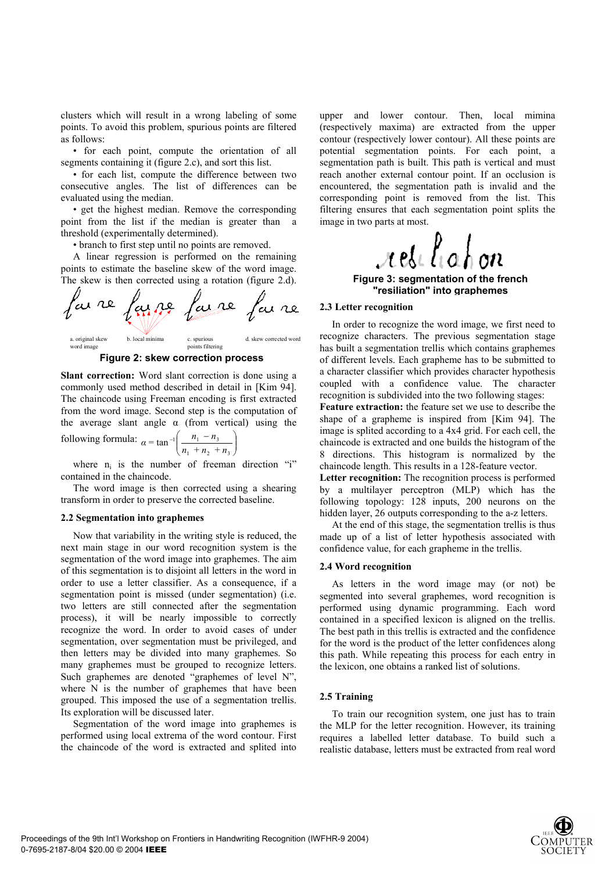clusters which will result in a wrong labeling of some points. To avoid this problem, spurious points are filtered as follows:

• for each point, compute the orientation of all segments containing it (figure 2.c), and sort this list.

• for each list, compute the difference between two consecutive angles. The list of differences can be evaluated using the median.

• get the highest median. Remove the corresponding point from the list if the median is greater than a threshold (experimentally determined).

• branch to first step until no points are removed.

A linear regression is performed on the remaining points to estimate the baseline skew of the word image. The skew is then corrected using a rotation (figure 2.d).



**Figure 2: skew correction process** 

**Slant correction:** Word slant correction is done using a commonly used method described in detail in [Kim 94]. The chaincode using Freeman encoding is first extracted from the word image. Second step is the computation of the average slant angle  $\alpha$  (from vertical) using the Ι

following formula:  $\alpha = \tan^{-1} \left( \frac{n_1 - n_3}{n_1 + n_2 + n_3} \right)$  $\overline{\phantom{a}}$ ∖  $-1 \begin{pmatrix} n_1 - n_2 \end{pmatrix}$  $1 + n_2 + n_3$  $\alpha = \tan^{-1} \left( \frac{n_1 - n_3}{n_1 + n_2 + n_3} \right)$ 

where n<sub>i</sub> is the number of freeman direction "i" contained in the chaincode.

J

The word image is then corrected using a shearing transform in order to preserve the corrected baseline.

### **2.2 Segmentation into graphemes**

Now that variability in the writing style is reduced, the next main stage in our word recognition system is the segmentation of the word image into graphemes. The aim of this segmentation is to disjoint all letters in the word in order to use a letter classifier. As a consequence, if a segmentation point is missed (under segmentation) (i.e. two letters are still connected after the segmentation process), it will be nearly impossible to correctly recognize the word. In order to avoid cases of under segmentation, over segmentation must be privileged, and then letters may be divided into many graphemes. So many graphemes must be grouped to recognize letters. Such graphemes are denoted "graphemes of level N", where N is the number of graphemes that have been grouped. This imposed the use of a segmentation trellis. Its exploration will be discussed later.

Segmentation of the word image into graphemes is performed using local extrema of the word contour. First the chaincode of the word is extracted and splited into upper and lower contour. Then, local mimina (respectively maxima) are extracted from the upper contour (respectively lower contour). All these points are potential segmentation points. For each point, a segmentation path is built. This path is vertical and must reach another external contour point. If an occlusion is encountered, the segmentation path is invalid and the corresponding point is removed from the list. This filtering ensures that each segmentation point splits the image in two parts at most.

$$
\mathcal{H}\mathit{el}_\text{L} \mathit{l}_\text{L} \alpha \mathit{h}_\text{O} n
$$

# **Figure 3: segmentation of the french "resiliation" into graphemes**

#### **2.3 Letter recognition**

In order to recognize the word image, we first need to recognize characters. The previous segmentation stage has built a segmentation trellis which contains graphemes of different levels. Each grapheme has to be submitted to a character classifier which provides character hypothesis coupled with a confidence value. The character recognition is subdivided into the two following stages:

**Feature extraction:** the feature set we use to describe the shape of a grapheme is inspired from [Kim 94]. The image is splited according to a 4x4 grid. For each cell, the chaincode is extracted and one builds the histogram of the 8 directions. This histogram is normalized by the chaincode length. This results in a 128-feature vector.

**Letter recognition:** The recognition process is performed by a multilayer perceptron (MLP) which has the following topology: 128 inputs, 200 neurons on the hidden layer, 26 outputs corresponding to the a-z letters.

At the end of this stage, the segmentation trellis is thus made up of a list of letter hypothesis associated with confidence value, for each grapheme in the trellis.

#### **2.4 Word recognition**

As letters in the word image may (or not) be segmented into several graphemes, word recognition is performed using dynamic programming. Each word contained in a specified lexicon is aligned on the trellis. The best path in this trellis is extracted and the confidence for the word is the product of the letter confidences along this path. While repeating this process for each entry in the lexicon, one obtains a ranked list of solutions.

#### **2.5 Training**

To train our recognition system, one just has to train the MLP for the letter recognition. However, its training requires a labelled letter database. To build such a realistic database, letters must be extracted from real word

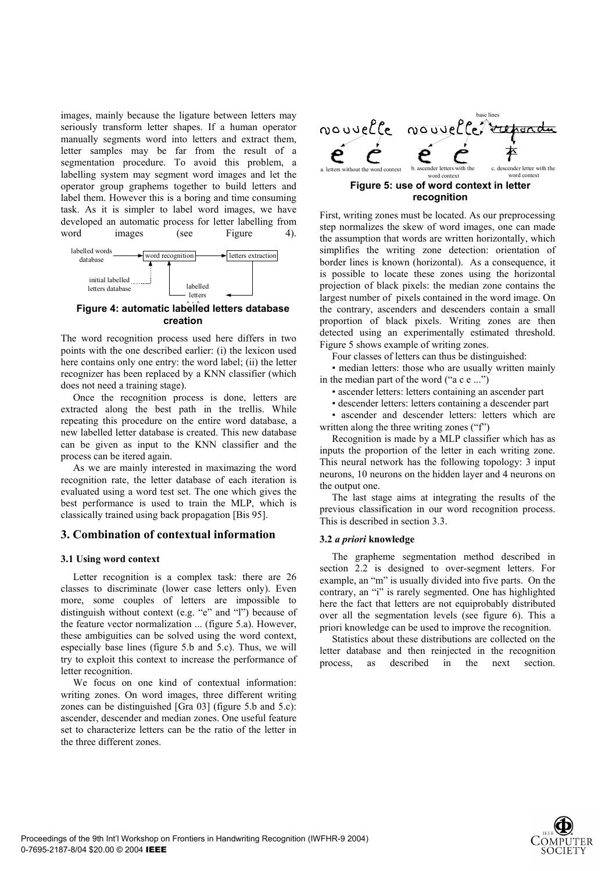images, mainly because the ligature between letters may seriously transform letter shapes. If a human operator manually segments word into letters and extract them, letter samples may be far from the result of a segmentation procedure. To avoid this problem, a labelling system may segment word images and let the operator group graphems together to build letters and label them. However this is a boring and time consuming task. As it is simpler to label word images, we have developed an automatic process for letter labelling from word images (see Figure 4).



**Figure 4: automatic labelled letters database creation** 

The word recognition process used here differs in two points with the one described earlier: (i) the lexicon used here contains only one entry: the word label; (ii) the letter recognizer has been replaced by a KNN classifier (which does not need a training stage).

Once the recognition process is done, letters are extracted along the best path in the trellis. While repeating this procedure on the entire word database, a new labelled letter database is created. This new database can be given as input to the KNN classifier and the process can be itered again.

As we are mainly interested in maximazing the word recognition rate, the letter database of each iteration is evaluated using a word test set. The one which gives the best performance is used to train the MLP, which is classically trained using back propagation [Bis 95].

# **3. Combination of contextual information**

#### **3.1 Using word context**

Letter recognition is a complex task: there are 26 classes to discriminate (lower case letters only). Even more, some couples of letters are impossible to distinguish without context (e.g. "e" and "l") because of the feature vector normalization ... (figure 5.a). However, these ambiguities can be solved using the word context, especially base lines (figure 5.b and 5.c). Thus, we will try to exploit this context to increase the performance of letter recognition.

We focus on one kind of contextual information: writing zones. On word images, three different writing zones can be distinguished [Gra 03] (figure 5.b and 5.c): ascender, descender and median zones. One useful feature set to characterize letters can be the ratio of the letter in the three different zones.



First, writing zones must be located. As our preprocessing step normalizes the skew of word images, one can made the assumption that words are written horizontally, which simplifies the writing zone detection: orientation of border lines is known (horizontal). As a consequence, it is possible to locate these zones using the horizontal projection of black pixels: the median zone contains the largest number of pixels contained in the word image. On the contrary, ascenders and descenders contain a small proportion of black pixels. Writing zones are then detected using an experimentally estimated threshold. Figure 5 shows example of writing zones.

Four classes of letters can thus be distinguished:

• median letters: those who are usually written mainly in the median part of the word ("a c e ...")

• ascender letters: letters containing an ascender part

• descender letters: letters containing a descender part

• ascender and descender letters: letters which are written along the three writing zones ("f")

Recognition is made by a MLP classifier which has as inputs the proportion of the letter in each writing zone. This neural network has the following topology: 3 input neurons, 10 neurons on the hidden layer and 4 neurons on the output one.

The last stage aims at integrating the results of the previous classification in our word recognition process. This is described in section 3.3.

#### **3.2** *a priori* **knowledge**

The grapheme segmentation method described in section 2.2 is designed to over-segment letters. For example, an "m" is usually divided into five parts. On the contrary, an "i" is rarely segmented. One has highlighted here the fact that letters are not equiprobably distributed over all the segmentation levels (see figure 6). This a priori knowledge can be used to improve the recognition.

Statistics about these distributions are collected on the letter database and then reinjected in the recognition process, as described in the next section.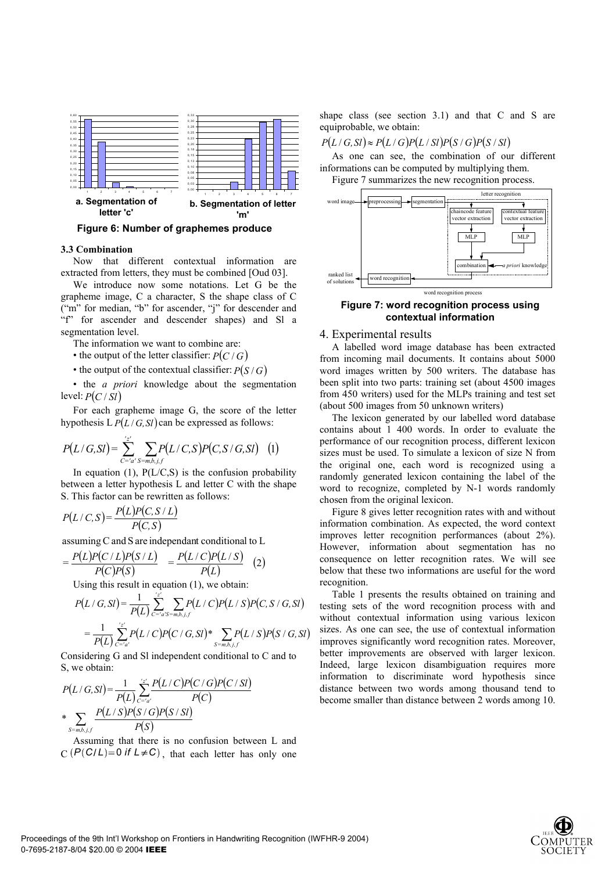

#### **Figure 6: Number of graphemes produce**

#### **3.3 Combination**

Now that different contextual information are extracted from letters, they must be combined [Oud 03].

We introduce now some notations. Let G be the grapheme image, C a character, S the shape class of C ("m" for median, "b" for ascender, "j" for descender and "f" for ascender and descender shapes) and Sl a segmentation level.

The information we want to combine are:

• the output of the letter classifier:  $P(C/G)$ 

• the output of the contextual classifier:  $P(S/G)$ 

• the *a priori* knowledge about the segmentation level:  $P(C / SI)$ 

For each grapheme image G, the score of the letter hypothesis  $L P(L/G,SI)$  can be expressed as follows:

$$
P(L/G, SI) = \sum_{C = 'a'}^{'} \sum_{S = m,b,j,f} P(L/C, S) P(C, S/G, SI) \quad (1)
$$

In equation (1),  $P(L/C, S)$  is the confusion probability between a letter hypothesis L and letter C with the shape S. This factor can be rewritten as follows:

$$
P(L/C, S) = \frac{P(L)P(C, S/L)}{P(C, S)}
$$

assuming C and S are independant conditional to  $L$ 

$$
=\frac{P(L)P(C/L)P(S/L)}{P(C)P(S)} = \frac{P(L/C)P(L/S)}{P(L)} \quad (2)
$$

Using this result in equation (1), we obtain:

$$
P(L / G, SI) = \frac{1}{P(L)} \sum_{C = 'a'S = m,b,j,f}^{'} P(L / C) P(L / S) P(C, S / G, SI)
$$
  
= 
$$
\frac{1}{P(L)} \sum_{C = 'a'}^{'} P(L / C) P(C / G, SI)^* \sum_{S = m,b,j,f} P(L / S) P(S / G, SI)
$$

Considering G and Sl independent conditional to C and to S, we obtain:

$$
P(L/G, SI) = \frac{1}{P(L)} \sum_{C = 'a'}^{'} \frac{P(L/C)P(C/G)P(C'SI)}{P(C)}
$$
  
\* 
$$
\sum_{S = m,b,j,f} \frac{P(L/S)P(S/G)P(S/SI)}{P(S)}
$$

Assuming that there is no confusion between L and  $C(P(C/L)=0$  *if*  $L \neq C$ , that each letter has only one shape class (see section 3.1) and that C and S are equiprobable, we obtain:

 $P(L/G, SI) \approx P(L/G)P(L/SI)P(S/G)P(S/SI)$ 

As one can see, the combination of our different informations can be computed by multiplying them.





#### **Figure 7: word recognition process using contextual information**

### 4. Experimental results

A labelled word image database has been extracted from incoming mail documents. It contains about 5000 word images written by 500 writers. The database has been split into two parts: training set (about 4500 images from 450 writers) used for the MLPs training and test set (about 500 images from 50 unknown writers)

The lexicon generated by our labelled word database contains about 1 400 words. In order to evaluate the performance of our recognition process, different lexicon sizes must be used. To simulate a lexicon of size N from the original one, each word is recognized using a randomly generated lexicon containing the label of the word to recognize, completed by N-1 words randomly chosen from the original lexicon.

Figure 8 gives letter recognition rates with and without information combination. As expected, the word context improves letter recognition performances (about 2%). However, information about segmentation has no consequence on letter recognition rates. We will see below that these two informations are useful for the word recognition.

Table 1 presents the results obtained on training and testing sets of the word recognition process with and without contextual information using various lexicon sizes. As one can see, the use of contextual information improves significantly word recognition rates. Moreover, better improvements are observed with larger lexicon. Indeed, large lexicon disambiguation requires more information to discriminate word hypothesis since distance between two words among thousand tend to become smaller than distance between 2 words among 10.